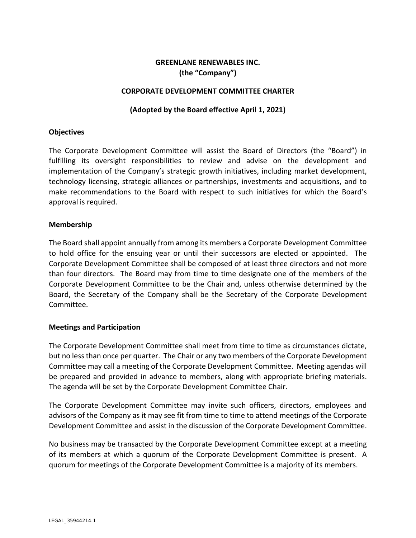# **GREENLANE RENEWABLES INC. (the "Company")**

### **CORPORATE DEVELOPMENT COMMITTEE CHARTER**

### **(Adopted by the Board effective April 1, 2021)**

#### **Objectives**

The Corporate Development Committee will assist the Board of Directors (the "Board") in fulfilling its oversight responsibilities to review and advise on the development and implementation of the Company's strategic growth initiatives, including market development, technology licensing, strategic alliances or partnerships, investments and acquisitions, and to make recommendations to the Board with respect to such initiatives for which the Board's approval is required.

#### **Membership**

The Board shall appoint annually from among its members a Corporate Development Committee to hold office for the ensuing year or until their successors are elected or appointed. The Corporate Development Committee shall be composed of at least three directors and not more than four directors. The Board may from time to time designate one of the members of the Corporate Development Committee to be the Chair and, unless otherwise determined by the Board, the Secretary of the Company shall be the Secretary of the Corporate Development Committee.

#### **Meetings and Participation**

The Corporate Development Committee shall meet from time to time as circumstances dictate, but no less than once per quarter. The Chair or any two members of the Corporate Development Committee may call a meeting of the Corporate Development Committee. Meeting agendas will be prepared and provided in advance to members, along with appropriate briefing materials. The agenda will be set by the Corporate Development Committee Chair.

The Corporate Development Committee may invite such officers, directors, employees and advisors of the Company as it may see fit from time to time to attend meetings of the Corporate Development Committee and assist in the discussion of the Corporate Development Committee.

No business may be transacted by the Corporate Development Committee except at a meeting of its members at which a quorum of the Corporate Development Committee is present. A quorum for meetings of the Corporate Development Committee is a majority of its members.